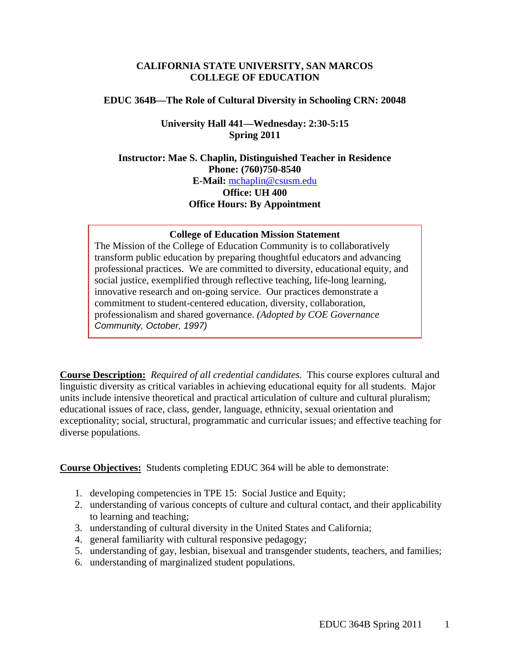## **CALIFORNIA STATE UNIVERSITY, SAN MARCOS COLLEGE OF EDUCATION**

### **EDUC 364B—The Role of Cultural Diversity in Schooling CRN: 20048**

## **University Hall 441—Wednesday: 2:30-5:15 Spring 2011**

**Instructor: Mae S. Chaplin, Distinguished Teacher in Residence Phone: (760)750-8540 E-Mail:** mchaplin@csusm.edu **Office: UH 400 Office Hours: By Appointment** 

### **College of Education Mission Statement**

The Mission of the College of Education Community is to collaboratively transform public education by preparing thoughtful educators and advancing professional practices. We are committed to diversity, educational equity, and social justice, exemplified through reflective teaching, life-long learning, innovative research and on-going service. Our practices demonstrate a commitment to student-centered education, diversity, collaboration, professionalism and shared governance. *(Adopted by COE Governance Community, October, 1997)* 

 **Course Description:** *Required of all credential candidates.* This course explores cultural and linguistic diversity as critical variables in achieving educational equity for all students. Major units include intensive theoretical and practical articulation of culture and cultural pluralism; educational issues of race, class, gender, language, ethnicity, sexual orientation and exceptionality; social, structural, programmatic and curricular issues; and effective teaching for diverse populations.

**Course Objectives:** Students completing EDUC 364 will be able to demonstrate:

- 1. developing competencies in TPE 15: Social Justice and Equity;
- 2. understanding of various concepts of culture and cultural contact, and their applicability to learning and teaching;
- 3. understanding of cultural diversity in the United States and California;
- 4. general familiarity with cultural responsive pedagogy;
- 5. understanding of gay, lesbian, bisexual and transgender students, teachers, and families;
- 6. understanding of marginalized student populations.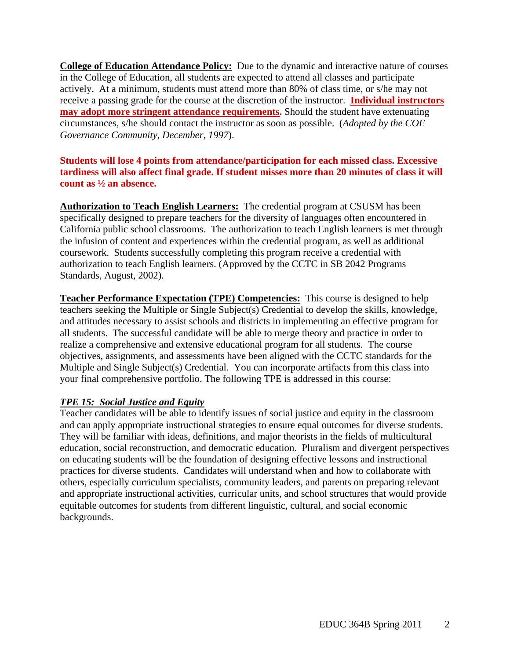**College of Education Attendance Policy:** Due to the dynamic and interactive nature of courses in the College of Education, all students are expected to attend all classes and participate actively. At a minimum, students must attend more than 80% of class time, or s/he may not receive a passing grade for the course at the discretion of the instructor. **Individual instructors may adopt more stringent attendance requirements.** Should the student have extenuating circumstances, s/he should contact the instructor as soon as possible. (*Adopted by the COE Governance Community, December, 1997*).

# **Students will lose 4 points from attendance/participation for each missed class. Excessive tardiness will also affect final grade. If student misses more than 20 minutes of class it will count as ½ an absence.**

**Authorization to Teach English Learners:** The credential program at CSUSM has been specifically designed to prepare teachers for the diversity of languages often encountered in California public school classrooms. The authorization to teach English learners is met through the infusion of content and experiences within the credential program, as well as additional coursework. Students successfully completing this program receive a credential with authorization to teach English learners. (Approved by the CCTC in SB 2042 Programs Standards, August, 2002).

**Teacher Performance Expectation (TPE) Competencies:** This course is designed to help teachers seeking the Multiple or Single Subject(s) Credential to develop the skills, knowledge, and attitudes necessary to assist schools and districts in implementing an effective program for all students. The successful candidate will be able to merge theory and practice in order to realize a comprehensive and extensive educational program for all students. The course objectives, assignments, and assessments have been aligned with the CCTC standards for the Multiple and Single Subject(s) Credential. You can incorporate artifacts from this class into your final comprehensive portfolio. The following TPE is addressed in this course:

# *TPE 15: Social Justice and Equity*

Teacher candidates will be able to identify issues of social justice and equity in the classroom and can apply appropriate instructional strategies to ensure equal outcomes for diverse students. They will be familiar with ideas, definitions, and major theorists in the fields of multicultural education, social reconstruction, and democratic education. Pluralism and divergent perspectives on educating students will be the foundation of designing effective lessons and instructional practices for diverse students. Candidates will understand when and how to collaborate with others, especially curriculum specialists, community leaders, and parents on preparing relevant and appropriate instructional activities, curricular units, and school structures that would provide equitable outcomes for students from different linguistic, cultural, and social economic backgrounds.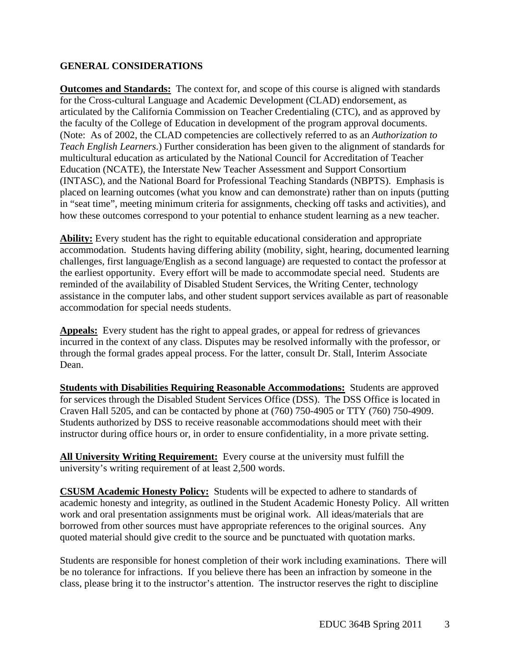# **GENERAL CONSIDERATIONS**

**Outcomes and Standards:** The context for, and scope of this course is aligned with standards for the Cross-cultural Language and Academic Development (CLAD) endorsement, as articulated by the California Commission on Teacher Credentialing (CTC), and as approved by the faculty of the College of Education in development of the program approval documents. (Note: As of 2002, the CLAD competencies are collectively referred to as an *Authorization to Teach English Learners*.) Further consideration has been given to the alignment of standards for multicultural education as articulated by the National Council for Accreditation of Teacher Education (NCATE), the Interstate New Teacher Assessment and Support Consortium (INTASC), and the National Board for Professional Teaching Standards (NBPTS). Emphasis is placed on learning outcomes (what you know and can demonstrate) rather than on inputs (putting in "seat time", meeting minimum criteria for assignments, checking off tasks and activities), and how these outcomes correspond to your potential to enhance student learning as a new teacher.

**Ability:** Every student has the right to equitable educational consideration and appropriate accommodation. Students having differing ability (mobility, sight, hearing, documented learning challenges, first language/English as a second language) are requested to contact the professor at the earliest opportunity. Every effort will be made to accommodate special need. Students are reminded of the availability of Disabled Student Services, the Writing Center, technology assistance in the computer labs, and other student support services available as part of reasonable accommodation for special needs students.

**Appeals:** Every student has the right to appeal grades, or appeal for redress of grievances incurred in the context of any class. Disputes may be resolved informally with the professor, or through the formal grades appeal process. For the latter, consult Dr. Stall, Interim Associate Dean.

**Students with Disabilities Requiring Reasonable Accommodations:** Students are approved for services through the Disabled Student Services Office (DSS). The DSS Office is located in Craven Hall 5205, and can be contacted by phone at (760) 750-4905 or TTY (760) 750-4909. Students authorized by DSS to receive reasonable accommodations should meet with their instructor during office hours or, in order to ensure confidentiality, in a more private setting.

All University Writing Requirement: Every course at the university must fulfill the university's writing requirement of at least 2,500 words.

**CSUSM Academic Honesty Policy:** Students will be expected to adhere to standards of academic honesty and integrity, as outlined in the Student Academic Honesty Policy. All written work and oral presentation assignments must be original work. All ideas/materials that are borrowed from other sources must have appropriate references to the original sources. Any quoted material should give credit to the source and be punctuated with quotation marks.

Students are responsible for honest completion of their work including examinations. There will be no tolerance for infractions. If you believe there has been an infraction by someone in the class, please bring it to the instructor's attention. The instructor reserves the right to discipline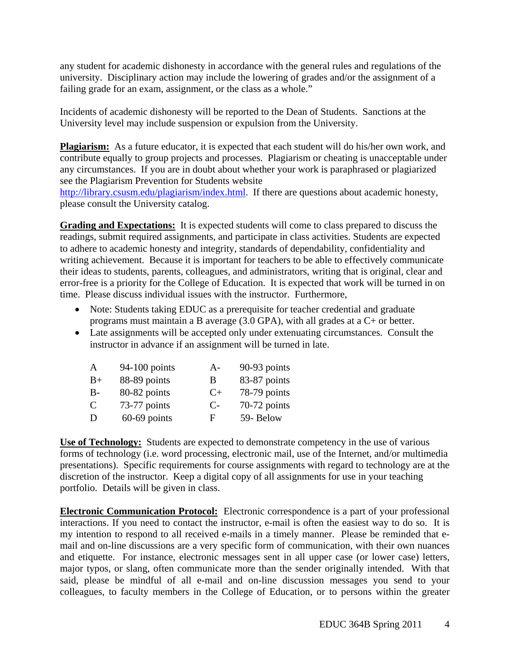any student for academic dishonesty in accordance with the general rules and regulations of the university. Disciplinary action may include the lowering of grades and/or the assignment of a failing grade for an exam, assignment, or the class as a whole."

Incidents of academic dishonesty will be reported to the Dean of Students. Sanctions at the University level may include suspension or expulsion from the University.

Plagiarism: As a future educator, it is expected that each student will do his/her own work, and contribute equally to group projects and processes. Plagiarism or cheating is unacceptable under any circumstances. If you are in doubt about whether your work is paraphrased or plagiarized see the Plagiarism Prevention for Students website

http://library.csusm.edu/plagiarism/index.html. If there are questions about academic honesty, please consult the University catalog.

**Grading and Expectations:** It is expected students will come to class prepared to discuss the readings, submit required assignments, and participate in class activities. Students are expected to adhere to academic honesty and integrity, standards of dependability, confidentiality and writing achievement. Because it is important for teachers to be able to effectively communicate their ideas to students, parents, colleagues, and administrators, writing that is original, clear and error-free is a priority for the College of Education. It is expected that work will be turned in on time. Please discuss individual issues with the instructor. Furthermore,

- Note: Students taking EDUC as a prerequisite for teacher credential and graduate programs must maintain a B average (3.0 GPA), with all grades at a C+ or better.
- Late assignments will be accepted only under extenuating circumstances. Consult the instructor in advance if an assignment will be turned in late.

| A     | $94-100$ points | $A-$ | 90-93 points |
|-------|-----------------|------|--------------|
| $B+$  | 88-89 points    | B    | 83-87 points |
| $B -$ | 80-82 points    | $C+$ | 78-79 points |
| C     | 73-77 points    | $C-$ | 70-72 points |
| D     | $60-69$ points  | F    | 59-Below     |

**Use of Technology:** Students are expected to demonstrate competency in the use of various forms of technology (i.e. word processing, electronic mail, use of the Internet, and/or multimedia presentations). Specific requirements for course assignments with regard to technology are at the discretion of the instructor. Keep a digital copy of all assignments for use in your teaching portfolio. Details will be given in class.

**Electronic Communication Protocol:** Electronic correspondence is a part of your professional interactions. If you need to contact the instructor, e-mail is often the easiest way to do so. It is my intention to respond to all received e-mails in a timely manner. Please be reminded that email and on-line discussions are a very specific form of communication, with their own nuances and etiquette. For instance, electronic messages sent in all upper case (or lower case) letters, major typos, or slang, often communicate more than the sender originally intended. With that said, please be mindful of all e-mail and on-line discussion messages you send to your colleagues, to faculty members in the College of Education, or to persons within the greater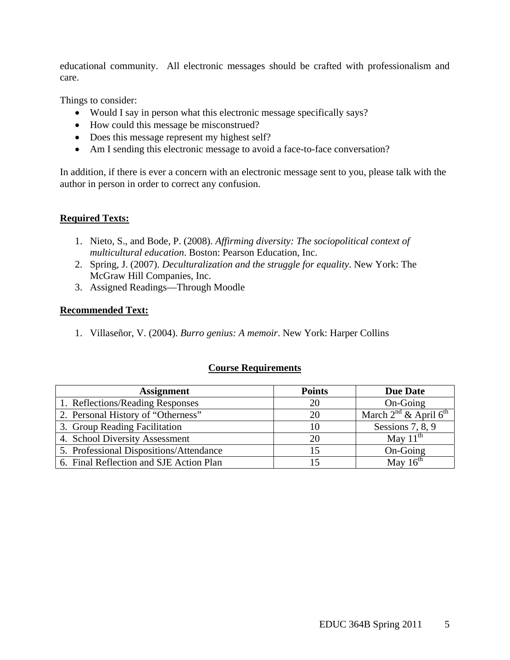educational community. All electronic messages should be crafted with professionalism and care.

Things to consider:

- Would I say in person what this electronic message specifically says?
- How could this message be misconstrued?
- Does this message represent my highest self?
- Am I sending this electronic message to avoid a face-to-face conversation?

In addition, if there is ever a concern with an electronic message sent to you, please talk with the author in person in order to correct any confusion.

# **Required Texts:**

- 1. Nieto, S., and Bode, P. (2008). *Affirming diversity: The sociopolitical context of multicultural education*. Boston: Pearson Education, Inc.
- 2. Spring, J. (2007). *Deculturalization and the struggle for equality*. New York: The McGraw Hill Companies, Inc.
- 3. Assigned Readings—Through Moodle

# **Recommended Text:**

1. Villaseñor, V. (2004). *Burro genius: A memoir*. New York: Harper Collins

# **Course Requirements**

| <b>Assignment</b>                       | <b>Points</b> | <b>Due Date</b>                 |
|-----------------------------------------|---------------|---------------------------------|
| 1. Reflections/Reading Responses        | 20            | On-Going                        |
| 2. Personal History of "Otherness"      | 20            | March $2^{nd}$ & April $6^{th}$ |
| 3. Group Reading Facilitation           | 10            | Sessions 7, 8, 9                |
| 4. School Diversity Assessment          | 20            | May $11^{th}$                   |
| 5. Professional Dispositions/Attendance |               | On-Going                        |
| 6. Final Reflection and SJE Action Plan |               | May $16^{th}$                   |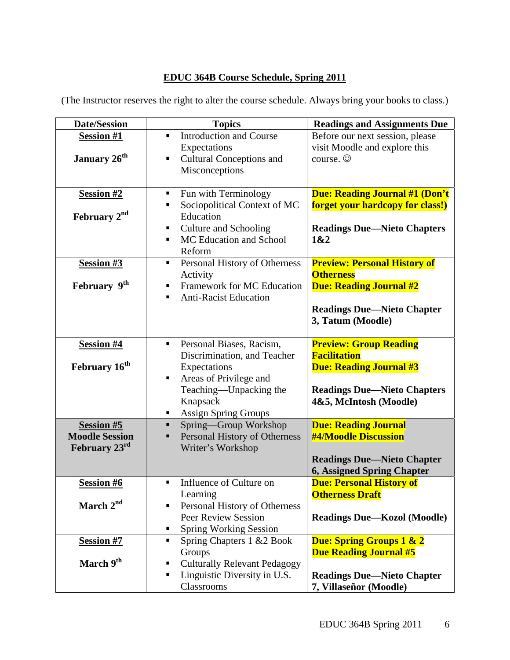# **EDUC 364B Course Schedule, Spring 2011**

| <b>Date/Session</b>                                         | <b>Topics</b>                                                                                                                                                                    | <b>Readings and Assignments Due</b>                                                                                                                    |
|-------------------------------------------------------------|----------------------------------------------------------------------------------------------------------------------------------------------------------------------------------|--------------------------------------------------------------------------------------------------------------------------------------------------------|
| <b>Session #1</b><br>January 26 <sup>th</sup>               | <b>Introduction and Course</b><br>$\blacksquare$<br>Expectations<br><b>Cultural Conceptions and</b><br>п<br>Misconceptions                                                       | Before our next session, please<br>visit Moodle and explore this<br>course. $\odot$                                                                    |
| <b>Session #2</b><br>February 2 <sup>nd</sup>               | Fun with Terminology<br>п<br>Sociopolitical Context of MC<br>п<br>Education<br><b>Culture and Schooling</b><br>п<br>MC Education and School<br>٠<br>Reform                       | <b>Due: Reading Journal #1 (Don't</b><br><b>forget your hardcopy for class!)</b><br><b>Readings Due—Nieto Chapters</b><br>1&2                          |
| Session #3<br>February 9th                                  | Personal History of Otherness<br>Activity<br>Framework for MC Education<br>٠<br><b>Anti-Racist Education</b><br>٠                                                                | <b>Preview: Personal History of</b><br><b>Otherness</b><br><b>Due: Reading Journal #2</b><br><b>Readings Due—Nieto Chapter</b><br>3, Tatum (Moodle)    |
| <b>Session #4</b><br>February 16 <sup>th</sup>              | Personal Biases, Racism,<br>ш<br>Discrimination, and Teacher<br>Expectations<br>Areas of Privilege and<br>Teaching-Unpacking the<br>Knapsack<br><b>Assign Spring Groups</b><br>ш | <b>Preview: Group Reading</b><br><b>Facilitation</b><br><b>Due: Reading Journal #3</b><br><b>Readings Due—Nieto Chapters</b><br>4&5, McIntosh (Moodle) |
| <b>Session #5</b><br><b>Moodle Session</b><br>February 23rd | Spring-Group Workshop<br>٠<br>Personal History of Otherness<br>п<br>Writer's Workshop                                                                                            | <b>Due: Reading Journal</b><br><b>#4/Moodle Discussion</b><br><b>Readings Due—Nieto Chapter</b><br><b>6, Assigned Spring Chapter</b>                   |
| <b>Session #6</b><br>March 2 <sup>nd</sup>                  | Influence of Culture on<br>٠<br>Learning<br>Personal History of Otherness<br><b>Peer Review Session</b><br><b>Spring Working Session</b><br>٠                                    | <b>Due: Personal History of</b><br><b>Otherness Draft</b><br><b>Readings Due—Kozol (Moodle)</b>                                                        |
| <b>Session #7</b><br>March 9 <sup>th</sup>                  | Spring Chapters 1 & 2 Book<br>Groups<br><b>Culturally Relevant Pedagogy</b><br>ш<br>Linguistic Diversity in U.S.<br>п<br>Classrooms                                              | <b>Due: Spring Groups 1 &amp; 2</b><br><b>Due Reading Journal #5</b><br><b>Readings Due—Nieto Chapter</b><br>7, Villaseñor (Moodle)                    |

(The Instructor reserves the right to alter the course schedule. Always bring your books to class.)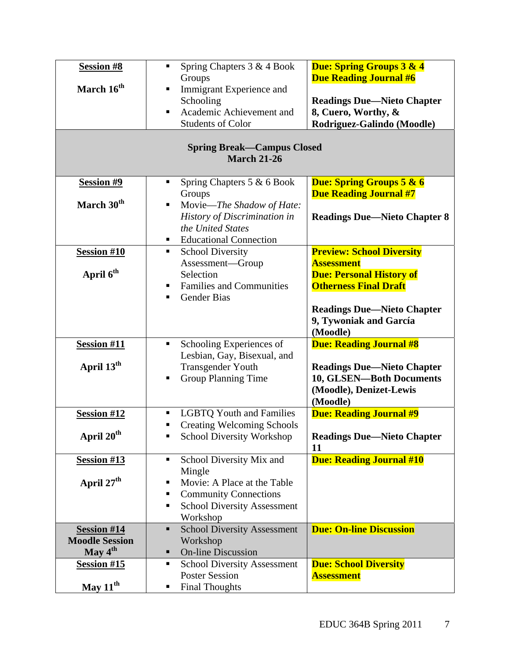| <b>Session #8</b>                                       | Spring Chapters 3 & 4 Book<br>ш<br>Groups            | <b>Due: Spring Groups 3 &amp; 4</b><br><b>Due Reading Journal #6</b> |  |  |  |
|---------------------------------------------------------|------------------------------------------------------|----------------------------------------------------------------------|--|--|--|
| March 16 <sup>th</sup>                                  | Immigrant Experience and<br>٠                        |                                                                      |  |  |  |
|                                                         | Schooling                                            | <b>Readings Due—Nieto Chapter</b>                                    |  |  |  |
|                                                         | Academic Achievement and<br>٠                        | 8, Cuero, Worthy, &                                                  |  |  |  |
|                                                         | <b>Students of Color</b>                             | Rodriguez-Galindo (Moodle)                                           |  |  |  |
| <b>Spring Break—Campus Closed</b><br><b>March 21-26</b> |                                                      |                                                                      |  |  |  |
| Session #9                                              | Spring Chapters 5 & 6 Book<br>٠                      | <b>Due: Spring Groups 5 &amp; 6</b>                                  |  |  |  |
|                                                         | Groups                                               | <b>Due Reading Journal #7</b>                                        |  |  |  |
| March 30 <sup>th</sup>                                  | Movie-The Shadow of Hate:<br>п                       |                                                                      |  |  |  |
|                                                         | History of Discrimination in                         | <b>Readings Due—Nieto Chapter 8</b>                                  |  |  |  |
|                                                         | the United States                                    |                                                                      |  |  |  |
|                                                         | <b>Educational Connection</b>                        |                                                                      |  |  |  |
| <b>Session #10</b>                                      | <b>School Diversity</b>                              | <b>Preview: School Diversity</b>                                     |  |  |  |
|                                                         | Assessment-Group                                     | <b>Assessment</b>                                                    |  |  |  |
| April 6 <sup>th</sup>                                   | Selection                                            | <b>Due: Personal History of</b>                                      |  |  |  |
|                                                         | <b>Families and Communities</b><br>٠                 | <b>Otherness Final Draft</b>                                         |  |  |  |
|                                                         | <b>Gender Bias</b><br>٠                              |                                                                      |  |  |  |
|                                                         |                                                      | <b>Readings Due—Nieto Chapter</b>                                    |  |  |  |
|                                                         |                                                      | 9, Tywoniak and García                                               |  |  |  |
|                                                         |                                                      | (Moodle)                                                             |  |  |  |
| <b>Session #11</b>                                      | Schooling Experiences of<br>п                        | <b>Due: Reading Journal #8</b>                                       |  |  |  |
|                                                         | Lesbian, Gay, Bisexual, and                          |                                                                      |  |  |  |
| April 13 <sup>th</sup>                                  | <b>Transgender Youth</b>                             | <b>Readings Due-Nieto Chapter</b>                                    |  |  |  |
|                                                         | <b>Group Planning Time</b><br>п                      | 10, GLSEN-Both Documents                                             |  |  |  |
|                                                         |                                                      | (Moodle), Denizet-Lewis                                              |  |  |  |
|                                                         |                                                      | (Moodle)                                                             |  |  |  |
| <b>Session #12</b>                                      | <b>LGBTQ Youth and Families</b>                      | <b>Due: Reading Journal #9</b>                                       |  |  |  |
|                                                         | <b>Creating Welcoming Schools</b><br>٠               |                                                                      |  |  |  |
| April 20 <sup>th</sup>                                  | School Diversity Workshop<br>٠                       | <b>Readings Due—Nieto Chapter</b>                                    |  |  |  |
|                                                         |                                                      | 11                                                                   |  |  |  |
| <b>Session #13</b>                                      | School Diversity Mix and<br>٠                        | <b>Due: Reading Journal #10</b>                                      |  |  |  |
|                                                         | Mingle                                               |                                                                      |  |  |  |
| April 27 <sup>th</sup>                                  | Movie: A Place at the Table                          |                                                                      |  |  |  |
|                                                         | <b>Community Connections</b><br>п                    |                                                                      |  |  |  |
|                                                         | <b>School Diversity Assessment</b><br>٠              |                                                                      |  |  |  |
|                                                         | Workshop                                             |                                                                      |  |  |  |
| <b>Session #14</b>                                      | <b>School Diversity Assessment</b><br>$\blacksquare$ | <b>Due: On-line Discussion</b>                                       |  |  |  |
| <b>Moodle Session</b>                                   | Workshop                                             |                                                                      |  |  |  |
| May 4 <sup>th</sup>                                     | <b>On-line Discussion</b><br>٠                       |                                                                      |  |  |  |
| <b>Session #15</b>                                      | <b>School Diversity Assessment</b><br>п              | <b>Due: School Diversity</b>                                         |  |  |  |
|                                                         | <b>Poster Session</b>                                | <b>Assessment</b>                                                    |  |  |  |
| May $11^{th}$                                           | <b>Final Thoughts</b>                                |                                                                      |  |  |  |
|                                                         |                                                      |                                                                      |  |  |  |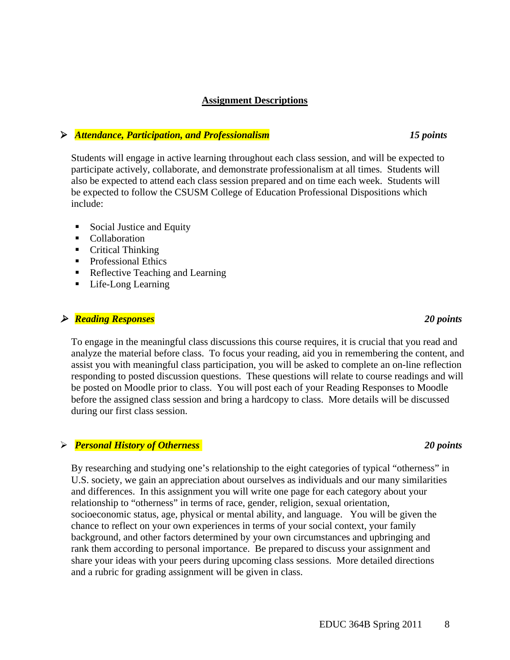### **Assignment Descriptions**

## *Attendance, Participation, and Professionalism 15 points*

Students will engage in active learning throughout each class session, and will be expected to participate actively, collaborate, and demonstrate professionalism at all times. Students will also be expected to attend each class session prepared and on time each week. Students will be expected to follow the CSUSM College of Education Professional Dispositions which include:

- Social Justice and Equity
- **Collaboration**
- Critical Thinking
- Professional Ethics
- Reflective Teaching and Learning
- Life-Long Learning

## *Reading Responses 20 points*

To engage in the meaningful class discussions this course requires, it is crucial that you read and analyze the material before class. To focus your reading, aid you in remembering the content, and assist you with meaningful class participation, you will be asked to complete an on-line reflection responding to posted discussion questions. These questions will relate to course readings and will be posted on Moodle prior to class. You will post each of your Reading Responses to Moodle before the assigned class session and bring a hardcopy to class. More details will be discussed during our first class session.

### *Personal History of Otherness 20 points*

By researching and studying one's relationship to the eight categories of typical "otherness" in U.S. society, we gain an appreciation about ourselves as individuals and our many similarities and differences. In this assignment you will write one page for each category about your relationship to "otherness" in terms of race, gender, religion, sexual orientation, socioeconomic status, age, physical or mental ability, and language. You will be given the chance to reflect on your own experiences in terms of your social context, your family background, and other factors determined by your own circumstances and upbringing and rank them according to personal importance. Be prepared to discuss your assignment and share your ideas with your peers during upcoming class sessions. More detailed directions and a rubric for grading assignment will be given in class.